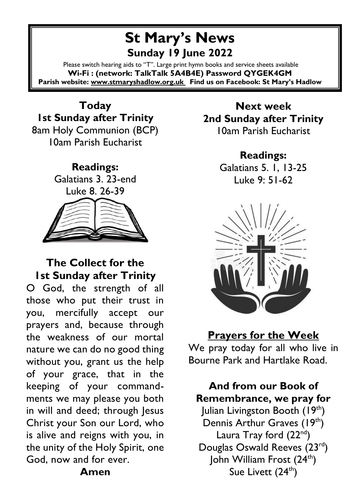# **St Mary's News Sunday 19 June 2022**

Please switch hearing aids to "T". Large print hymn books and service sheets available **Wi-Fi : (network: TalkTalk 5A4B4E) Password QYGEK4GM Parish website[: www.stmaryshadlow.org.uk](http://www.stmaryshadlow.org.uk/) Find us on Facebook: St Mary's Hadlow**

**Today 1st Sunday after Trinity** 8am Holy Communion (BCP) 10am Parish Eucharist



#### **The Collect for the 1st Sunday after Trinity**

O God, the strength of all those who put their trust in you, mercifully accept our prayers and, because through the weakness of our mortal nature we can do no good thing without you, grant us the help of your grace, that in the keeping of your commandments we may please you both in will and deed; through Jesus Christ your Son our Lord, who is alive and reigns with you, in the unity of the Holy Spirit, one God, now and for ever.

**Amen**

**Next week 2nd Sunday after Trinity**  10am Parish Eucharist

> **Readings:** Galatians 5. 1, 13-25 Luke 9: 51-62



**Prayers for the Week** We pray today for all who live in Bourne Park and Hartlake Road.

**And from our Book of Remembrance, we pray for**

Julian Livingston Booth (19th) Dennis Arthur Graves (19<sup>th</sup>) Laura Tray ford  $(22<sup>nd</sup>)$ Douglas Oswald Reeves (23<sup>rd</sup>) John William Frost (24<sup>th</sup>) Sue Livett  $(24<sup>th</sup>)$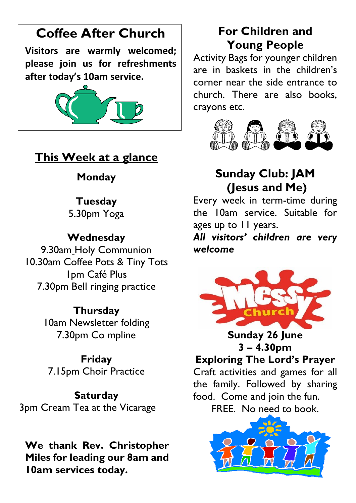# **Coffee After Church**

**Visitors are warmly welcomed; please join us for refreshments after today's 10am service.**



## **This Week at a glance**

## **Monday**

#### **Tuesday**

5.30pm Yoga

## **Wednesday**

9.30am Holy Communion 10.30am Coffee Pots & Tiny Tots 1pm Café Plus 7.30pm Bell ringing practice

#### **Thursday**

10am Newsletter folding 7.30pm Co mpline

# **Friday**

7.15pm Choir Practice

#### **Saturday**

3pm Cream Tea at the Vicarage

**We thank Rev. Christopher Miles for leading our 8am and 10am services today.** 

# **For Children and Young People**

Activity Bags for younger children are in baskets in the children's corner near the side entrance to church. There are also books, crayons etc.



# **Sunday Club: JAM (Jesus and Me)**

Every week in term-time during the 10am service. Suitable for ages up to 11 years.

*All visitors' children are very welcome*



**Sunday 26 June 3 – 4.30pm**

## **Exploring The Lord's Prayer**

Craft activities and games for all the family. Followed by sharing food. Come and join the fun.

FREE. No need to book.

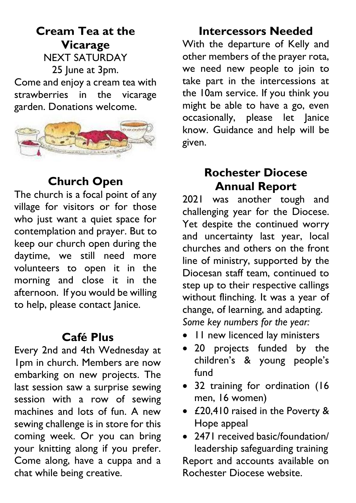**Cream Tea at the Vicarage** NEXT SATURDAY 25 June at 3pm. Come and enjoy a cream tea with strawberries in the vicarage garden. Donations welcome.



## **Church Open**

The church is a focal point of any village for visitors or for those who just want a quiet space for contemplation and prayer. But to keep our church open during the daytime, we still need more volunteers to open it in the morning and close it in the afternoon. If you would be willing to help, please contact Janice.

## **Café Plus**

Every 2nd and 4th Wednesday at 1pm in church. Members are now embarking on new projects. The last session saw a surprise sewing session with a row of sewing machines and lots of fun. A new sewing challenge is in store for this coming week. Or you can bring your knitting along if you prefer. Come along, have a cuppa and a chat while being creative.

# **Intercessors Needed**

With the departure of Kelly and other members of the prayer rota, we need new people to join to take part in the intercessions at the 10am service. If you think you might be able to have a go, even occasionally, please let Janice know. Guidance and help will be given.

## **Rochester Diocese Annual Report**

2021 was another tough and challenging year for the Diocese. Yet despite the continued worry and uncertainty last year, local churches and others on the front line of ministry, supported by the Diocesan staff team, continued to step up to their respective callings without flinching. It was a year of change, of learning, and adapting. *Some key numbers for the year:*

- 11 new licenced lay ministers
- 20 projects funded by the children's & young people's fund
- 32 training for ordination (16 men, 16 women)
- £20,410 raised in the Poverty & Hope appeal
- 2471 received basic/foundation/ leadership safeguarding training

Report and accounts available on Rochester Diocese website.